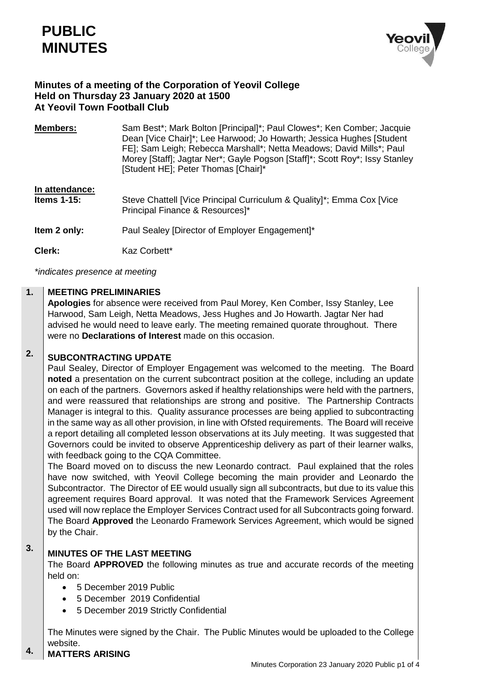

## **Minutes of a meeting of the Corporation of Yeovil College Held on Thursday 23 January 2020 at 1500 At Yeovil Town Football Club**

| <b>Members:</b>                  | Sam Best*; Mark Bolton [Principal]*; Paul Clowes*; Ken Comber; Jacquie<br>Dean [Vice Chair]*; Lee Harwood; Jo Howarth; Jessica Hughes [Student]<br>FE]; Sam Leigh; Rebecca Marshall*; Netta Meadows; David Mills*; Paul<br>Morey [Staff]; Jagtar Ner*; Gayle Pogson [Staff]*; Scott Roy*; Issy Stanley<br>[Student HE]; Peter Thomas [Chair]* |
|----------------------------------|-----------------------------------------------------------------------------------------------------------------------------------------------------------------------------------------------------------------------------------------------------------------------------------------------------------------------------------------------|
| In attendance:<br>Items $1-15$ : | Steve Chattell [Vice Principal Curriculum & Quality]*; Emma Cox [Vice<br>Principal Finance & Resources]*                                                                                                                                                                                                                                      |
| Item 2 only:                     | Paul Sealey [Director of Employer Engagement]*                                                                                                                                                                                                                                                                                                |
| Clerk:                           | Kaz Corbett*                                                                                                                                                                                                                                                                                                                                  |

*\*indicates presence at meeting*

#### **1. MEETING PRELIMINARIES**

**Apologies** for absence were received from Paul Morey, Ken Comber, Issy Stanley, Lee Harwood, Sam Leigh, Netta Meadows, Jess Hughes and Jo Howarth. Jagtar Ner had advised he would need to leave early. The meeting remained quorate throughout. There were no **Declarations of Interest** made on this occasion.

#### **2. SUBCONTRACTING UPDATE**

Paul Sealey, Director of Employer Engagement was welcomed to the meeting. The Board **noted** a presentation on the current subcontract position at the college, including an update on each of the partners. Governors asked if healthy relationships were held with the partners, and were reassured that relationships are strong and positive. The Partnership Contracts Manager is integral to this. Quality assurance processes are being applied to subcontracting in the same way as all other provision, in line with Ofsted requirements. The Board will receive a report detailing all completed lesson observations at its July meeting. It was suggested that Governors could be invited to observe Apprenticeship delivery as part of their learner walks, with feedback going to the CQA Committee.

The Board moved on to discuss the new Leonardo contract. Paul explained that the roles have now switched, with Yeovil College becoming the main provider and Leonardo the Subcontractor. The Director of EE would usually sign all subcontracts, but due to its value this agreement requires Board approval. It was noted that the Framework Services Agreement used will now replace the Employer Services Contract used for all Subcontracts going forward. The Board **Approved** the Leonardo Framework Services Agreement, which would be signed by the Chair.

#### **3.**

# **MINUTES OF THE LAST MEETING**

The Board **APPROVED** the following minutes as true and accurate records of the meeting held on:

- 5 December 2019 Public
- 5 December 2019 Confidential
- 5 December 2019 Strictly Confidential

The Minutes were signed by the Chair. The Public Minutes would be uploaded to the College website.

#### **4. MATTERS ARISING**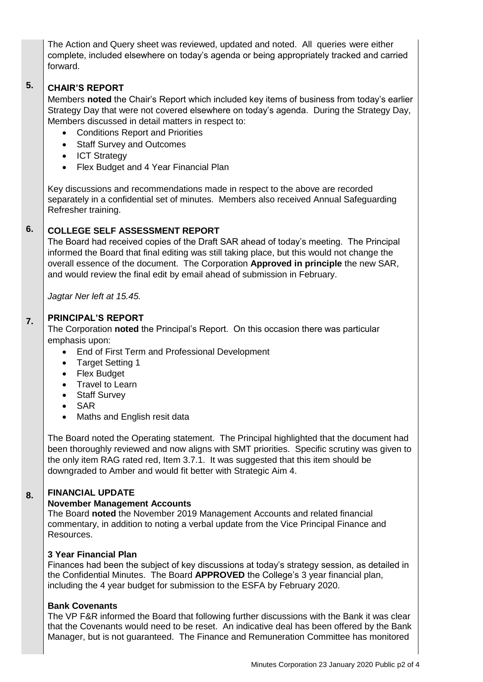The Action and Query sheet was reviewed, updated and noted. All queries were either complete, included elsewhere on today's agenda or being appropriately tracked and carried forward.

#### **5. CHAIR'S REPORT**

Members **noted** the Chair's Report which included key items of business from today's earlier Strategy Day that were not covered elsewhere on today's agenda. During the Strategy Day, Members discussed in detail matters in respect to:

- Conditions Report and Priorities
- Staff Survey and Outcomes
- ICT Strategy
- Flex Budget and 4 Year Financial Plan

Key discussions and recommendations made in respect to the above are recorded separately in a confidential set of minutes. Members also received Annual Safeguarding Refresher training.

#### **6. COLLEGE SELF ASSESSMENT REPORT**

The Board had received copies of the Draft SAR ahead of today's meeting. The Principal informed the Board that final editing was still taking place, but this would not change the overall essence of the document. The Corporation **Approved in principle** the new SAR, and would review the final edit by email ahead of submission in February.

*Jagtar Ner left at 15.45.*

#### **7. PRINCIPAL'S REPORT**

The Corporation **noted** the Principal's Report. On this occasion there was particular emphasis upon:

- End of First Term and Professional Development
- Target Setting 1
- Flex Budget
- Travel to Learn
- Staff Survey
- SAR
- Maths and English resit data

The Board noted the Operating statement. The Principal highlighted that the document had been thoroughly reviewed and now aligns with SMT priorities. Specific scrutiny was given to the only item RAG rated red, Item 3.7.1. It was suggested that this item should be downgraded to Amber and would fit better with Strategic Aim 4.

## **FINANCIAL UPDATE**

**8.**

### **November Management Accounts**

The Board **noted** the November 2019 Management Accounts and related financial commentary, in addition to noting a verbal update from the Vice Principal Finance and Resources.

## **3 Year Financial Plan**

Finances had been the subject of key discussions at today's strategy session, as detailed in the Confidential Minutes. The Board **APPROVED** the College's 3 year financial plan, including the 4 year budget for submission to the ESFA by February 2020.

## **Bank Covenants**

The VP F&R informed the Board that following further discussions with the Bank it was clear that the Covenants would need to be reset. An indicative deal has been offered by the Bank Manager, but is not guaranteed. The Finance and Remuneration Committee has monitored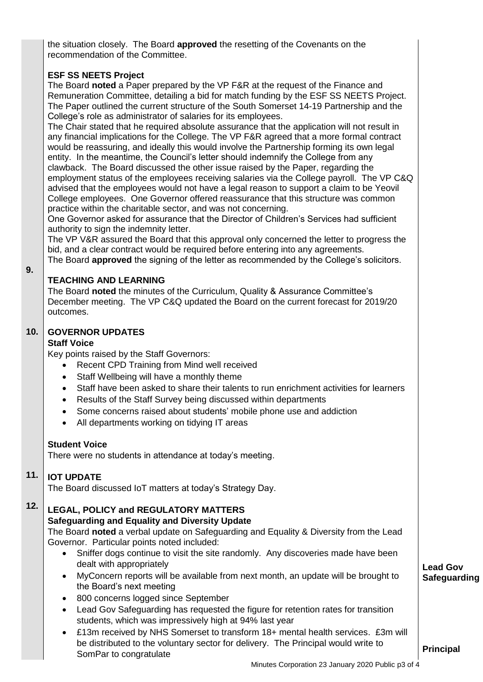the situation closely. The Board **approved** the resetting of the Covenants on the recommendation of the Committee.

### **ESF SS NEETS Project**

The Board **noted** a Paper prepared by the VP F&R at the request of the Finance and Remuneration Committee, detailing a bid for match funding by the ESF SS NEETS Project. The Paper outlined the current structure of the South Somerset 14-19 Partnership and the College's role as administrator of salaries for its employees.

The Chair stated that he required absolute assurance that the application will not result in any financial implications for the College. The VP F&R agreed that a more formal contract would be reassuring, and ideally this would involve the Partnership forming its own legal entity. In the meantime, the Council's letter should indemnify the College from any clawback. The Board discussed the other issue raised by the Paper, regarding the employment status of the employees receiving salaries via the College payroll. The VP C&Q advised that the employees would not have a legal reason to support a claim to be Yeovil College employees. One Governor offered reassurance that this structure was common practice within the charitable sector, and was not concerning.

One Governor asked for assurance that the Director of Children's Services had sufficient authority to sign the indemnity letter.

The VP V&R assured the Board that this approval only concerned the letter to progress the bid, and a clear contract would be required before entering into any agreements. The Board **approved** the signing of the letter as recommended by the College's solicitors.

**9.**

### **TEACHING AND LEARNING**

The Board **noted** the minutes of the Curriculum, Quality & Assurance Committee's December meeting. The VP C&Q updated the Board on the current forecast for 2019/20 outcomes.

#### **10. GOVERNOR UPDATES**

### **Staff Voice**

Key points raised by the Staff Governors:

- Recent CPD Training from Mind well received
- Staff Wellbeing will have a monthly theme
- Staff have been asked to share their talents to run enrichment activities for learners
- Results of the Staff Survey being discussed within departments
- Some concerns raised about students' mobile phone use and addiction
- All departments working on tidying IT areas

### **Student Voice**

There were no students in attendance at today's meeting.

#### **11. IOT UPDATE**

The Board discussed IoT matters at today's Strategy Day.

#### **12. LEGAL, POLICY and REGULATORY MATTERS Safeguarding and Equality and Diversity Update**

The Board **noted** a verbal update on Safeguarding and Equality & Diversity from the Lead Governor. Particular points noted included:

- Sniffer dogs continue to visit the site randomly. Any discoveries made have been dealt with appropriately
- MyConcern reports will be available from next month, an update will be brought to the Board's next meeting
- 800 concerns logged since September
- Lead Gov Safeguarding has requested the figure for retention rates for transition students, which was impressively high at 94% last year
- £13m received by NHS Somerset to transform 18+ mental health services. £3m will be distributed to the voluntary sector for delivery. The Principal would write to SomPar to congratulate

**Lead Gov Safeguarding**

**Principal**

Minutes Corporation 23 January 2020 Public p3 of 4